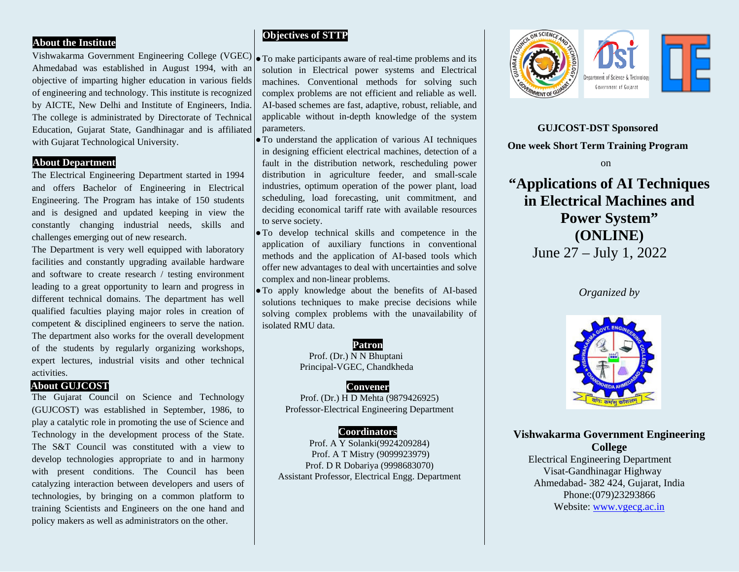## **About the Institute**

Vishwakarma Government Engineering College (VGEC) $\vert \bullet$  To make participants aware of real-time problems and its Ahmedabad was established in August 1994, with an objective of imparting higher education in various fields of engineering and technology. This institute is recognized by AICTE, New Delhi and Institute of Engineers, India. The college is administrated by Directorate of Technical Education, Gujarat State, Gandhinagar and is affiliated with Gujarat Technological University.

## **About Department**

The Electrical Engineering Department started in 1994 and offers Bachelor of Engineering in Electrical Engineering. The Program has intake of 150 students and is designed and updated keeping in view the constantly changing industrial needs, skills and challenges emerging out of new research.

The Department is very well equipped with laboratory facilities and constantly upgrading available hardware and software to create research / testing environment leading to a great opportunity to learn and progress in different technical domains. The department has well qualified faculties playing major roles in creation of competent & disciplined engineers to serve the nation. The department also works for the overall development of the students by regularly organizing workshops, expert lectures, industrial visits and other technical activities.

### **About GUJCOST**

The Gujarat Council on Science and Technology (GUJCOST) was established in September, 1986, to play a catalytic role in promoting the use of Science and Technology in the development process of the State. The S&T Council was constituted with a view to develop technologies appropriate to and in harmony with present conditions. The Council has been catalyzing interaction between developers and users of technologies, by bringing on a common platform to training Scientists and Engineers on the one hand and policy makers as well as administrators on the other.

# **Objectives of STTP**

solution in Electrical power systems and Electrical machines. Conventional methods for solving such complex problems are not efficient and reliable as well. AI-based schemes are fast, adaptive, robust, reliable, and applicable without in-depth knowledge of the system parameters.

●To understand the application of various AI techniques in designing efficient electrical machines, detection of a fault in the distribution network, rescheduling power distribution in agriculture feeder, and small-scale industries, optimum operation of the power plant, load scheduling, load forecasting, unit commitment, and deciding economical tariff rate with available resources to serve society.

●To develop technical skills and competence in the application of auxiliary functions in conventional methods and the application of AI-based tools which offer new advantages to deal with uncertainties and solve complex and non-linear problems.

●To apply knowledge about the benefits of AI-based solutions techniques to make precise decisions while solving complex problems with the unavailability of isolated RMU data.

> **Patron** Prof. (Dr.) N N Bhuptani Principal-VGEC, Chandkheda

### **Convener**

Prof. (Dr.) H D Mehta (9879426925) Professor-Electrical Engineering Department

### **Coordinators**

Prof. A Y Solanki(9924209284) Prof. A T Mistry (9099923979) Prof. D R Dobariya (9998683070) Assistant Professor, Electrical Engg. Department



**GUJCOST-DST Sponsored One week Short Term Training Program on on on** 

**"Applications of AI Techniques in Electrical Machines and Power System" (ONLINE)** June 27 – July 1, 2022

# *Organized by*



**Vishwakarma Government Engineering College** Electrical Engineering Department Visat-Gandhinagar Highway Ahmedabad- 382 424, Gujarat, India Phone:(079)23293866 Website: [www.vgecg.ac.in](http://www.vgecg.ac.in/)